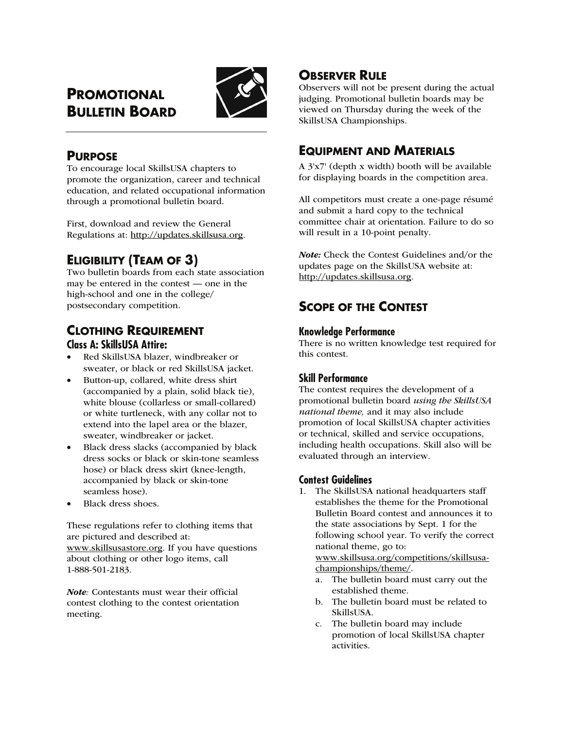# **PROMOTIONAL BULLETIN BOARD**



# **PURPOSE**

To encourage local SkillsUSA chapters to promote the organization, career and technical education, and related occupational information through a promotional bulletin board.

First, download and review the General Regulations at: http://updates.skillsusa.org.

# **ELIGIBILITY (TEAM OF 3)**

Two bulletin boards from each state association may be entered in the contest — one in the high-school and one in the college/ postsecondary competition.

# **CLOTHING REQUIREMENT Class A: SkillsUSA Attire:**

- Red SkillsUSA blazer, windbreaker or sweater, or black or red SkillsUSA jacket.
- Button-up, collared, white dress shirt (accompanied by a plain, solid black tie), white blouse (collarless or small-collared) or white turtleneck, with any collar not to extend into the lapel area or the blazer, sweater, windbreaker or jacket.
- Black dress slacks (accompanied by black dress socks or black or skin-tone seamless hose) or black dress skirt (knee-length, accompanied by black or skin-tone seamless hose).
- Black dress shoes.

These regulations refer to clothing items that are pictured and described at: www.skillsusastore.org. If you have questions about clothing or other logo items, call 1-888-501-2183.

Note*:* Contestants must wear their official contest clothing to the contest orientation meeting.

# **OBSERVER RULE**

Observers will not be present during the actual judging. Promotional bulletin boards may be viewed on Thursday during the week of the SkillsUSA Championships.

# **EQUIPMENT AND MATERIALS**

A 3'x7' (depth x width) booth will be available for displaying boards in the competition area.

All competitors must create a one-page résumé and submit a hard copy to the technical committee chair at orientation. Failure to do so will result in a 10-point penalty.

Note: Check the Contest Guidelines and/or the updates page on the SkillsUSA website at: http://updates.skillsusa.org.

# **SCOPE OF THE CONTEST**

## **Knowledge Performance**

There is no written knowledge test required for this contest.

## **Skill Performance**

The contest requires the development of a promotional bulletin board *using the SkillsUSA national theme,* and it may also include promotion of local SkillsUSA chapter activities or technical, skilled and service occupations, including health occupations. Skill also will be evaluated through an interview.

## **Contest Guidelines**

1. The SkillsUSA national headquarters staff establishes the theme for the Promotional Bulletin Board contest and announces it to the state associations by Sept. 1 for the following school year. To verify the correct national theme, go to:

www.skillsusa.org/competitions/skillsusachampionships/theme/.

- a. The bulletin board must carry out the established theme.
- b. The bulletin board must be related to SkillsUSA.
- c. The bulletin board may include promotion of local SkillsUSA chapter activities.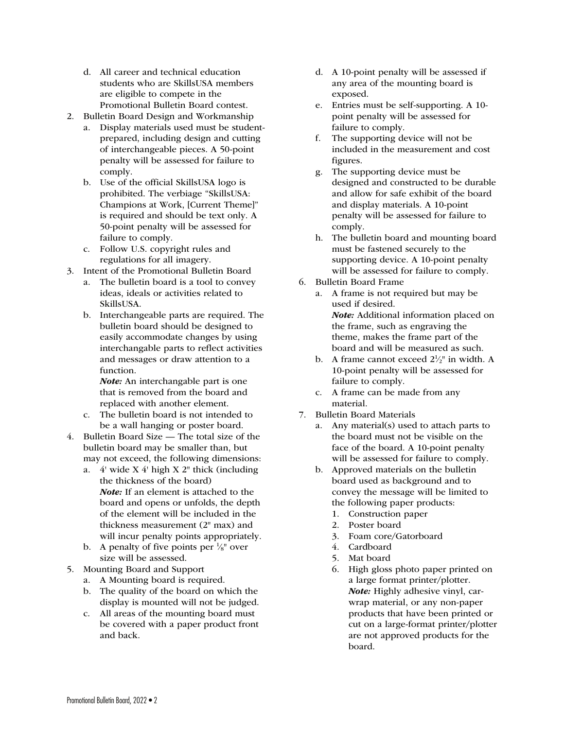- d. All career and technical education students who are SkillsUSA members are eligible to compete in the Promotional Bulletin Board contest.
- 2. Bulletin Board Design and Workmanship
	- a. Display materials used must be studentprepared, including design and cutting of interchangeable pieces. A 50-point penalty will be assessed for failure to comply.
	- b. Use of the official SkillsUSA logo is prohibited. The verbiage "SkillsUSA: Champions at Work, [Current Theme]" is required and should be text only. A 50-point penalty will be assessed for failure to comply.
	- c. Follow U.S. copyright rules and regulations for all imagery.
- 3. Intent of the Promotional Bulletin Board
	- a. The bulletin board is a tool to convey ideas, ideals or activities related to SkillsUSA.
	- b. Interchangeable parts are required. The bulletin board should be designed to easily accommodate changes by using interchangable parts to reflect activities and messages or draw attention to a function.

Note: An interchangable part is one that is removed from the board and replaced with another element.

- c. The bulletin board is not intended to be a wall hanging or poster board.
- 4. Bulletin Board Size The total size of the bulletin board may be smaller than, but may not exceed, the following dimensions:
	- a. 4' wide X 4' high X 2" thick (including the thickness of the board) Note: If an element is attached to the board and opens or unfolds, the depth of the element will be included in the thickness measurement (2" max) and will incur penalty points appropriately.
	- b. A penalty of five points per  $\frac{1}{8}$ " over size will be assessed.
- 5. Mounting Board and Support
	- a. A Mounting board is required.
	- b. The quality of the board on which the display is mounted will not be judged.
	- c. All areas of the mounting board must be covered with a paper product front and back.
- d. A 10-point penalty will be assessed if any area of the mounting board is exposed.
- e. Entries must be self-supporting. A 10 point penalty will be assessed for failure to comply.
- f. The supporting device will not be included in the measurement and cost figures.
- g. The supporting device must be designed and constructed to be durable and allow for safe exhibit of the board and display materials. A 10-point penalty will be assessed for failure to comply.
- h. The bulletin board and mounting board must be fastened securely to the supporting device. A 10-point penalty will be assessed for failure to comply.
- 6. Bulletin Board Frame
	- a. A frame is not required but may be used if desired. Note: Additional information placed on the frame, such as engraving the theme, makes the frame part of the board and will be measured as such.
	- b. A frame cannot exceed  $2\frac{1}{2}$  in width. A 10-point penalty will be assessed for failure to comply.
	- c. A frame can be made from any material.
- 7. Bulletin Board Materials
	- a. Any material(s) used to attach parts to the board must not be visible on the face of the board. A 10-point penalty will be assessed for failure to comply.
	- b. Approved materials on the bulletin board used as background and to convey the message will be limited to the following paper products:
		- 1. Construction paper
		- 2. Poster board
		- 3. Foam core/Gatorboard
		- 4. Cardboard
		- 5. Mat board
		- 6. High gloss photo paper printed on a large format printer/plotter. Note: Highly adhesive vinyl, carwrap material, or any non-paper products that have been printed or cut on a large-format printer/plotter are not approved products for the board.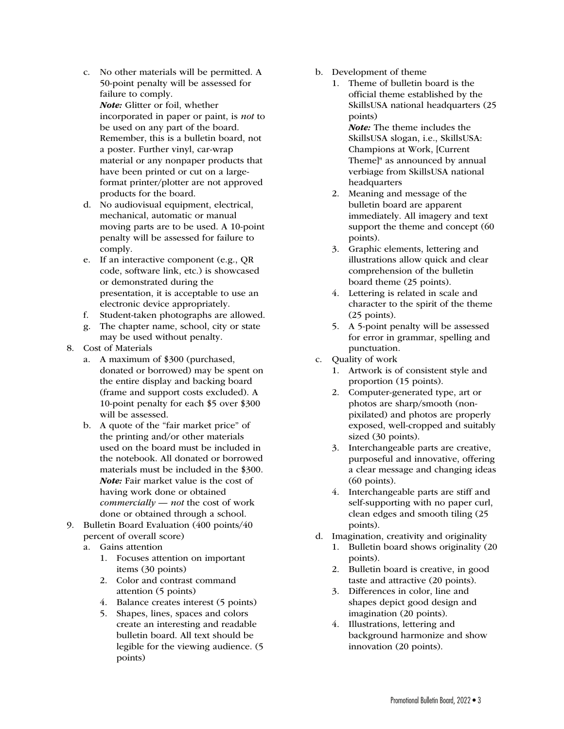- c. No other materials will be permitted. A 50-point penalty will be assessed for failure to comply. Note: Glitter or foil, whether incorporated in paper or paint, is *not* to be used on any part of the board. Remember, this is a bulletin board, not a poster. Further vinyl, car-wrap material or any nonpaper products that have been printed or cut on a largeformat printer/plotter are not approved products for the board.
- d. No audiovisual equipment, electrical, mechanical, automatic or manual moving parts are to be used. A 10-point penalty will be assessed for failure to comply.
- e. If an interactive component (e.g., QR code, software link, etc.) is showcased or demonstrated during the presentation, it is acceptable to use an electronic device appropriately.
- f. Student-taken photographs are allowed.
- g. The chapter name, school, city or state may be used without penalty.
- 8. Cost of Materials
	- a. A maximum of \$300 (purchased, donated or borrowed) may be spent on the entire display and backing board (frame and support costs excluded). A 10-point penalty for each \$5 over \$300 will be assessed.
	- b. A quote of the "fair market price" of the printing and/or other materials used on the board must be included in the notebook. All donated or borrowed materials must be included in the \$300. Note: Fair market value is the cost of having work done or obtained *commercially* — *not* the cost of work done or obtained through a school.
- 9. Bulletin Board Evaluation (400 points/40 percent of overall score)
	- a. Gains attention
		- 1. Focuses attention on important items (30 points)
		- 2. Color and contrast command attention (5 points)
		- 4. Balance creates interest (5 points)
		- 5. Shapes, lines, spaces and colors create an interesting and readable bulletin board. All text should be legible for the viewing audience. (5 points)
- b. Development of theme
	- 1. Theme of bulletin board is the official theme established by the SkillsUSA national headquarters (25 points) Note: The theme includes the

SkillsUSA slogan, i.e., SkillsUSA: Champions at Work, [Current Theme]" as announced by annual verbiage from SkillsUSA national headquarters

- 2. Meaning and message of the bulletin board are apparent immediately. All imagery and text support the theme and concept (60 points).
- 3. Graphic elements, lettering and illustrations allow quick and clear comprehension of the bulletin board theme (25 points).
- 4. Lettering is related in scale and character to the spirit of the theme (25 points).
- 5. A 5-point penalty will be assessed for error in grammar, spelling and punctuation.
- c. Quality of work
	- 1. Artwork is of consistent style and proportion (15 points).
	- 2. Computer-generated type, art or photos are sharp/smooth (nonpixilated) and photos are properly exposed, well-cropped and suitably sized (30 points).
	- 3. Interchangeable parts are creative, purposeful and innovative, offering a clear message and changing ideas (60 points).
	- 4. Interchangeable parts are stiff and self-supporting with no paper curl, clean edges and smooth tiling (25 points).
- d. Imagination, creativity and originality
	- 1. Bulletin board shows originality (20 points).
	- 2. Bulletin board is creative, in good taste and attractive (20 points).
	- 3. Differences in color, line and shapes depict good design and imagination (20 points).
	- 4. Illustrations, lettering and background harmonize and show innovation (20 points).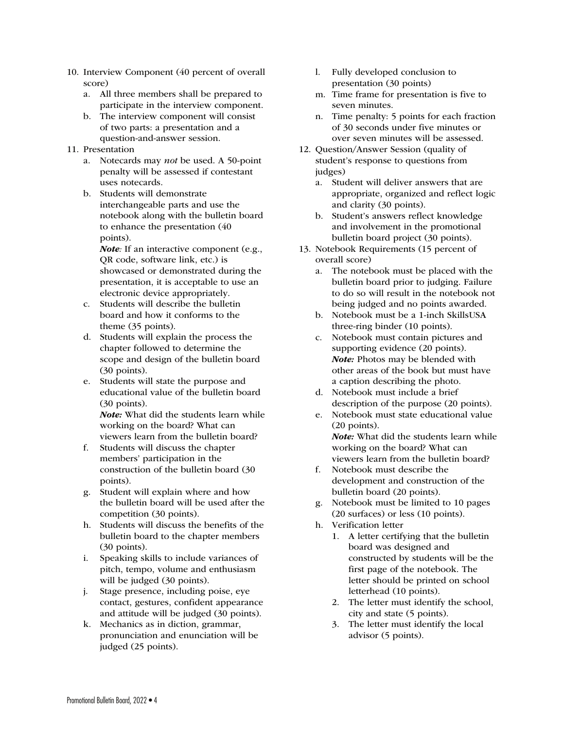- 10. Interview Component (40 percent of overall score)
	- a. All three members shall be prepared to participate in the interview component.
	- b. The interview component will consist of two parts: a presentation and a question-and-answer session.
- 11. Presentation
	- a. Notecards may *not* be used. A 50-point penalty will be assessed if contestant uses notecards.
	- b. Students will demonstrate interchangeable parts and use the notebook along with the bulletin board to enhance the presentation (40 points).

Note*:* If an interactive component (e.g., QR code, software link, etc.) is showcased or demonstrated during the presentation, it is acceptable to use an electronic device appropriately.

- c. Students will describe the bulletin board and how it conforms to the theme (35 points).
- d. Students will explain the process the chapter followed to determine the scope and design of the bulletin board (30 points).
- e. Students will state the purpose and educational value of the bulletin board (30 points).

Note: What did the students learn while working on the board? What can viewers learn from the bulletin board?

- f. Students will discuss the chapter members' participation in the construction of the bulletin board (30 points).
- g. Student will explain where and how the bulletin board will be used after the competition (30 points).
- h. Students will discuss the benefits of the bulletin board to the chapter members (30 points).
- i. Speaking skills to include variances of pitch, tempo, volume and enthusiasm will be judged (30 points).
- j. Stage presence, including poise, eye contact, gestures, confident appearance and attitude will be judged (30 points).
- k. Mechanics as in diction, grammar, pronunciation and enunciation will be judged (25 points).
- l. Fully developed conclusion to presentation (30 points)
- m. Time frame for presentation is five to seven minutes.
- n. Time penalty: 5 points for each fraction of 30 seconds under five minutes or over seven minutes will be assessed.
- 12. Question/Answer Session (quality of student's response to questions from judges)
	- a. Student will deliver answers that are appropriate, organized and reflect logic and clarity (30 points).
	- b. Student's answers reflect knowledge and involvement in the promotional bulletin board project (30 points).
- 13. Notebook Requirements (15 percent of overall score)
	- a. The notebook must be placed with the bulletin board prior to judging. Failure to do so will result in the notebook not being judged and no points awarded.
	- b. Notebook must be a 1-inch SkillsUSA three-ring binder (10 points).
	- c. Notebook must contain pictures and supporting evidence (20 points). Note: Photos may be blended with other areas of the book but must have a caption describing the photo.
	- d. Notebook must include a brief description of the purpose (20 points).
	- e. Notebook must state educational value (20 points). Note: What did the students learn while working on the board? What can viewers learn from the bulletin board?
	- f. Notebook must describe the development and construction of the bulletin board (20 points).
	- g. Notebook must be limited to 10 pages (20 surfaces) or less (10 points).
	- h. Verification letter
		- 1. A letter certifying that the bulletin board was designed and constructed by students will be the first page of the notebook. The letter should be printed on school letterhead (10 points).
		- 2. The letter must identify the school, city and state (5 points).
		- 3. The letter must identify the local advisor (5 points).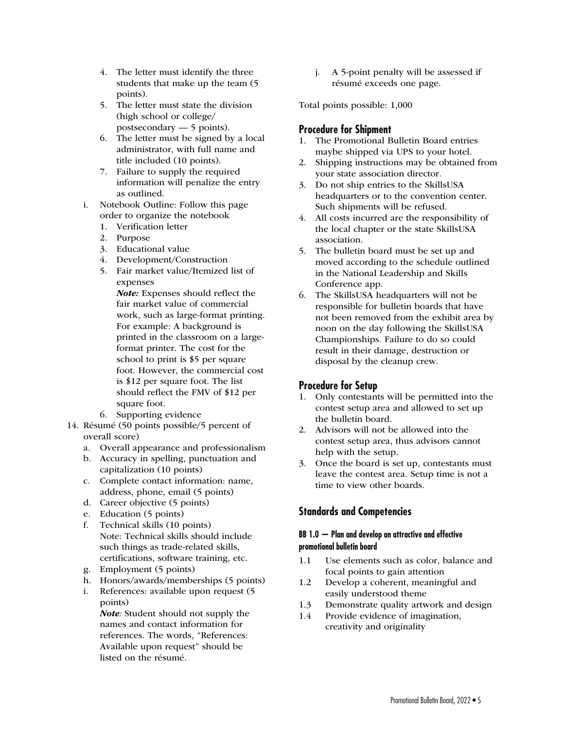- 4. The letter must identify the three students that make up the team (5 points).
- 5. The letter must state the division (high school or college/ postsecondary — 5 points).
- 6. The letter must be signed by a local administrator, with full name and title included (10 points).
- 7. Failure to supply the required information will penalize the entry as outlined.
- i. Notebook Outline: Follow this page order to organize the notebook
	- 1. Verification letter
	- 2. Purpose
	- 3. Educational value
	- 4. Development/Construction
	- 5. Fair market value/Itemized list of expenses

Note: Expenses should reflect the fair market value of commercial work, such as large-format printing. For example: A background is printed in the classroom on a largeformat printer. The cost for the school to print is \$5 per square foot. However, the commercial cost is \$12 per square foot. The list should reflect the FMV of \$12 per square foot.

- 6. Supporting evidence
- 14. Résumé (50 points possible/5 percent of overall score)
	- a. Overall appearance and professionalism
	- b. Accuracy in spelling, punctuation and capitalization (10 points)
	- c. Complete contact information: name, address, phone, email (5 points)
	- d. Career objective (5 points)
	- e. Education (5 points)
	- f. Technical skills (10 points) Note: Technical skills should include such things as trade-related skills, certifications, software training, etc.
	- g. Employment (5 points)
	- h. Honors/awards/memberships (5 points)
	- i. References: available upon request (5 points)

Note*:* Student should not supply the names and contact information for references. The words, "References: Available upon request" should be listed on the résumé.

j. A 5-point penalty will be assessed if résumé exceeds one page.

Total points possible: 1,000

## **Procedure for Shipment**

- 1. The Promotional Bulletin Board entries maybe shipped via UPS to your hotel.
- 2. Shipping instructions may be obtained from your state association director.
- 3. Do not ship entries to the SkillsUSA headquarters or to the convention center. Such shipments will be refused.
- 4. All costs incurred are the responsibility of the local chapter or the state SkillsUSA association.
- 5. The bulletin board must be set up and moved according to the schedule outlined in the National Leadership and Skills Conference app.
- 6. The SkillsUSA headquarters will not be responsible for bulletin boards that have not been removed from the exhibit area by noon on the day following the SkillsUSA Championships. Failure to do so could result in their damage, destruction or disposal by the cleanup crew.

## **Procedure for Setup**

- 1. Only contestants will be permitted into the contest setup area and allowed to set up the bulletin board.
- 2. Advisors will not be allowed into the contest setup area, thus advisors cannot help with the setup.
- 3. Once the board is set up, contestants must leave the contest area. Setup time is not a time to view other boards.

## **Standards and Competencies**

#### **BB 1.0 — Plan and develop an attractive and effective promotional bulletin board**

- 1.1 Use elements such as color, balance and focal points to gain attention
- 1.2 Develop a coherent, meaningful and easily understood theme
- 1.3 Demonstrate quality artwork and design
- 1.4 Provide evidence of imagination, creativity and originality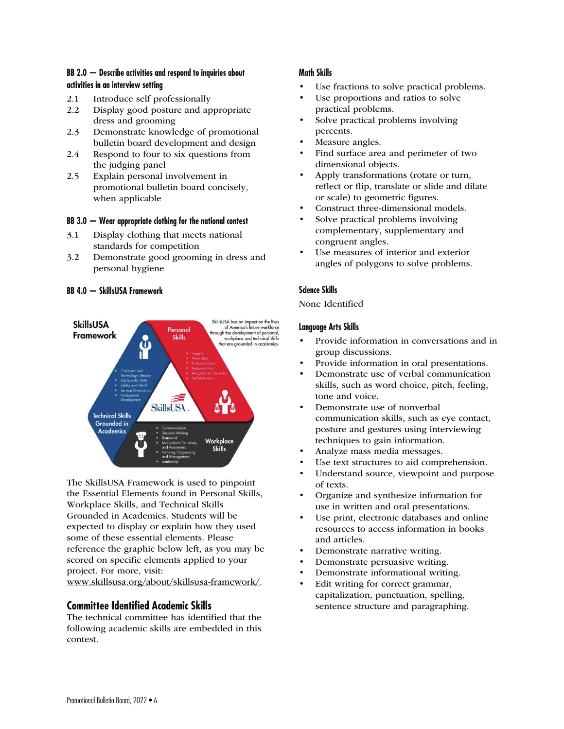### **BB 2.0 — Describe activities and respond to inquiries about activities in an interview setting**

- 2.1 Introduce self professionally
- 2.2 Display good posture and appropriate dress and grooming
- 2.3 Demonstrate knowledge of promotional bulletin board development and design
- 2.4 Respond to four to six questions from the judging panel
- 2.5 Explain personal involvement in promotional bulletin board concisely, when applicable

#### **BB 3.0 — Wear appropriate clothing for the national contest**

- 3.1 Display clothing that meets national standards for competition
- 3.2 Demonstrate good grooming in dress and personal hygiene

#### **BB 4.0 — SkillsUSA Framework**



The SkillsUSA Framework is used to pinpoint the Essential Elements found in Personal Skills, Workplace Skills, and Technical Skills Grounded in Academics. Students will be expected to display or explain how they used some of these essential elements. Please reference the graphic below left, as you may be scored on specific elements applied to your project. For more, visit: www.skillsusa.org/about/skillsusa-framework/.

## **Committee Identified Academic Skills**

The technical committee has identified that the following academic skills are embedded in this contest.

### **Math Skills**

- Use fractions to solve practical problems.
- Use proportions and ratios to solve practical problems.
- Solve practical problems involving percents.
- Measure angles.
- Find surface area and perimeter of two dimensional objects.
- Apply transformations (rotate or turn, reflect or flip, translate or slide and dilate or scale) to geometric figures.
- Construct three-dimensional models.
- Solve practical problems involving complementary, supplementary and congruent angles.
- Use measures of interior and exterior angles of polygons to solve problems.

### **Science Skills**

#### None Identified

#### **Language Arts Skills**

- Provide information in conversations and in group discussions.
- Provide information in oral presentations.
- Demonstrate use of verbal communication skills, such as word choice, pitch, feeling, tone and voice.
- Demonstrate use of nonverbal communication skills, such as eye contact, posture and gestures using interviewing techniques to gain information.
- Analyze mass media messages.
- Use text structures to aid comprehension.
- Understand source, viewpoint and purpose of texts.
- Organize and synthesize information for use in written and oral presentations.
- Use print, electronic databases and online resources to access information in books and articles.
- Demonstrate narrative writing.
- Demonstrate persuasive writing.
- Demonstrate informational writing.
- Edit writing for correct grammar, capitalization, punctuation, spelling, sentence structure and paragraphing.